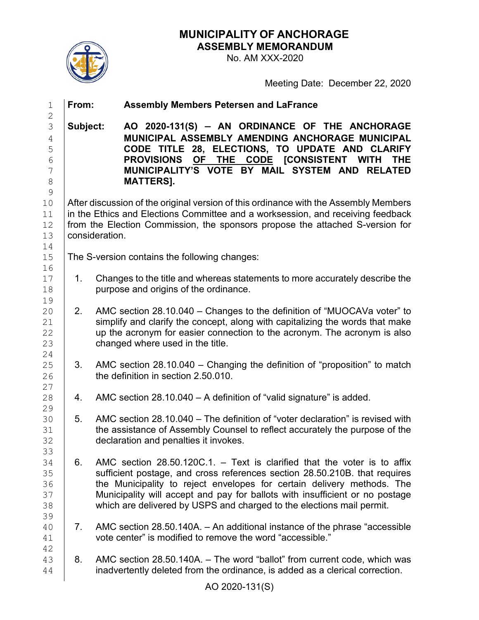**MUNICIPALITY OF ANCHORAGE ASSEMBLY MEMORANDUM**



## No. AM XXX-2020

Meeting Date: December 22, 2020

| $\mathbf 1$                                                                                         | From:    | <b>Assembly Members Petersen and LaFrance</b>                                                                                                                                                                                                                                                                                                                                                |
|-----------------------------------------------------------------------------------------------------|----------|----------------------------------------------------------------------------------------------------------------------------------------------------------------------------------------------------------------------------------------------------------------------------------------------------------------------------------------------------------------------------------------------|
| $\mathbf 2$<br>3<br>$\overline{4}$<br>5<br>$\sqrt{6}$<br>$\overline{7}$<br>$\,8\,$<br>$\mathcal{G}$ | Subject: | AO 2020-131(S) - AN ORDINANCE OF THE ANCHORAGE<br>MUNICIPAL ASSEMBLY AMENDING ANCHORAGE MUNICIPAL<br>CODE TITLE 28, ELECTIONS, TO UPDATE AND CLARIFY<br>PROVISIONS OF THE CODE [CONSISTENT WITH<br><b>THE</b><br>MUNICIPALITY'S VOTE BY MAIL SYSTEM AND RELATED<br><b>MATTERS].</b>                                                                                                          |
| 10<br>11<br>12<br>13                                                                                |          | After discussion of the original version of this ordinance with the Assembly Members<br>in the Ethics and Elections Committee and a worksession, and receiving feedback<br>from the Election Commission, the sponsors propose the attached S-version for<br>consideration.                                                                                                                   |
| 14<br>15                                                                                            |          | The S-version contains the following changes:                                                                                                                                                                                                                                                                                                                                                |
| 16<br>17<br>18                                                                                      | $1_{-}$  | Changes to the title and whereas statements to more accurately describe the<br>purpose and origins of the ordinance.                                                                                                                                                                                                                                                                         |
| 19<br>20<br>21<br>22<br>23                                                                          | 2.       | AMC section 28.10.040 - Changes to the definition of "MUOCAVa voter" to<br>simplify and clarify the concept, along with capitalizing the words that make<br>up the acronym for easier connection to the acronym. The acronym is also<br>changed where used in the title.                                                                                                                     |
| 24<br>25<br>26                                                                                      | 3.       | AMC section 28.10.040 - Changing the definition of "proposition" to match<br>the definition in section 2.50.010.                                                                                                                                                                                                                                                                             |
| 27<br>28                                                                                            | 4.       | AMC section 28.10.040 - A definition of "valid signature" is added.                                                                                                                                                                                                                                                                                                                          |
| 29<br>30<br>31<br>32                                                                                | 5.       | AMC section 28.10.040 – The definition of "voter declaration" is revised with<br>the assistance of Assembly Counsel to reflect accurately the purpose of the<br>declaration and penalties it invokes.                                                                                                                                                                                        |
| 33<br>34<br>35<br>36<br>37<br>38                                                                    | 6.       | AMC section $28.50.120C.1$ . - Text is clarified that the voter is to affix<br>sufficient postage, and cross references section 28.50.210B. that requires<br>the Municipality to reject envelopes for certain delivery methods. The<br>Municipality will accept and pay for ballots with insufficient or no postage<br>which are delivered by USPS and charged to the elections mail permit. |
| 39<br>40<br>41                                                                                      | 7.       | AMC section 28.50.140A. - An additional instance of the phrase "accessible"<br>vote center" is modified to remove the word "accessible."                                                                                                                                                                                                                                                     |
| 42<br>43<br>44                                                                                      | 8.       | AMC section 28.50.140A. - The word "ballot" from current code, which was<br>inadvertently deleted from the ordinance, is added as a clerical correction.                                                                                                                                                                                                                                     |